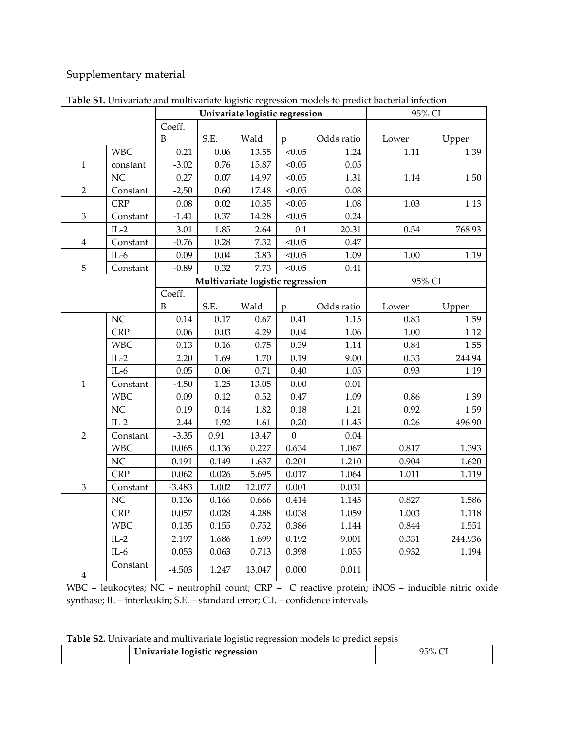## Supplementary material

|                |            |          |          | Univariate logistic regression   |                |            | 95% CI |         |  |
|----------------|------------|----------|----------|----------------------------------|----------------|------------|--------|---------|--|
|                |            | Coeff.   |          |                                  |                |            |        |         |  |
|                |            | B        | S.E.     | Wald                             | $\mathfrak{p}$ | Odds ratio | Lower  | Upper   |  |
|                | <b>WBC</b> | 0.21     | $0.06\,$ | 13.55                            | < 0.05         | 1.24       | 1.11   | 1.39    |  |
| $\mathbf{1}$   | constant   | $-3.02$  | 0.76     | 15.87                            | < 0.05         | 0.05       |        |         |  |
|                | NC         | 0.27     | 0.07     | 14.97                            | < 0.05         | 1.31       | 1.14   | 1.50    |  |
| $\overline{2}$ | Constant   | $-2,50$  | 0.60     | 17.48                            | < 0.05         | 0.08       |        |         |  |
|                | <b>CRP</b> | 0.08     | 0.02     | 10.35                            | < 0.05         | 1.08       | 1.03   | 1.13    |  |
| $\mathfrak z$  | Constant   | $-1.41$  | 0.37     | 14.28                            | < 0.05         | 0.24       |        |         |  |
|                | $IL-2$     | 3.01     | 1.85     | 2.64                             | $0.1\,$        | 20.31      | 0.54   | 768.93  |  |
| 4              | Constant   | $-0.76$  | 0.28     | 7.32                             | < 0.05         | 0.47       |        |         |  |
|                | $IL-6$     | 0.09     | 0.04     | 3.83                             | < 0.05         | 1.09       | 1.00   | 1.19    |  |
| 5              | Constant   | $-0.89$  | 0.32     | 7.73                             | < 0.05         | 0.41       |        |         |  |
|                |            |          |          | Multivariate logistic regression |                |            |        | 95% CI  |  |
|                |            | Coeff.   |          |                                  |                |            |        |         |  |
|                |            | B        | S.E.     | Wald                             | $\mathbf{p}$   | Odds ratio | Lower  | Upper   |  |
|                | NC         | 0.14     | 0.17     | 0.67                             | 0.41           | 1.15       | 0.83   | 1.59    |  |
|                | <b>CRP</b> | 0.06     | 0.03     | 4.29                             | 0.04           | 1.06       | 1.00   | 1.12    |  |
|                | <b>WBC</b> | 0.13     | 0.16     | 0.75                             | 0.39           | 1.14       | 0.84   | 1.55    |  |
|                | $IL-2$     | 2.20     | 1.69     | 1.70                             | 0.19           | 9.00       | 0.33   | 244.94  |  |
|                | $IL-6$     | 0.05     | $0.06\,$ | 0.71                             | 0.40           | 1.05       | 0.93   | 1.19    |  |
| $\mathbf{1}$   | Constant   | $-4.50$  | 1.25     | 13.05                            | 0.00           | 0.01       |        |         |  |
|                | <b>WBC</b> | 0.09     | 0.12     | 0.52                             | 0.47           | 1.09       | 0.86   | 1.39    |  |
|                | NC         | 0.19     | 0.14     | 1.82                             | 0.18           | 1.21       | 0.92   | 1.59    |  |
|                | $IL-2$     | 2.44     | 1.92     | 1.61                             | 0.20           | 11.45      | 0.26   | 496.90  |  |
| $\overline{2}$ | Constant   | $-3.35$  | 0.91     | 13.47                            | $\mathbf{0}$   | 0.04       |        |         |  |
|                | <b>WBC</b> | 0.065    | 0.136    | 0.227                            | 0.634          | 1.067      | 0.817  | 1.393   |  |
|                | NC         | 0.191    | 0.149    | 1.637                            | 0.201          | 1.210      | 0.904  | 1.620   |  |
|                | <b>CRP</b> | 0.062    | 0.026    | 5.695                            | 0.017          | 1.064      | 1.011  | 1.119   |  |
| $\mathfrak{Z}$ | Constant   | $-3.483$ | 1.002    | 12.077                           | 0.001          | 0.031      |        |         |  |
|                | NC         | 0.136    | 0.166    | 0.666                            | 0.414          | 1.145      | 0.827  | 1.586   |  |
|                | <b>CRP</b> | 0.057    | 0.028    | 4.288                            | 0.038          | 1.059      | 1.003  | 1.118   |  |
|                | <b>WBC</b> | 0.135    | 0.155    | 0.752                            | 0.386          | 1.144      | 0.844  | 1.551   |  |
|                | $IL-2$     | 2.197    | 1.686    | 1.699                            | 0.192          | 9.001      | 0.331  | 244.936 |  |
|                | $IL-6$     | 0.053    | 0.063    | 0.713                            | 0.398          | 1.055      | 0.932  | 1.194   |  |
| $\overline{4}$ | Constant   | $-4.503$ | 1.247    | 13.047                           | 0.000          | 0.011      |        |         |  |

**Table S1.** Univariate and multivariate logistic regression models to predict bacterial infection

WBC – leukocytes; NC – neutrophil count; CRP – C reactive protein; iNOS – inducible nitric oxide synthase; IL – interleukin; S.E. – standard error; C.I. – confidence intervals

|  |  | Table S2. Univariate and multivariate logistic regression models to predict sepsis |  |  |  |  |  |
|--|--|------------------------------------------------------------------------------------|--|--|--|--|--|
|--|--|------------------------------------------------------------------------------------|--|--|--|--|--|

| Univariate logistic regression | 95% |
|--------------------------------|-----|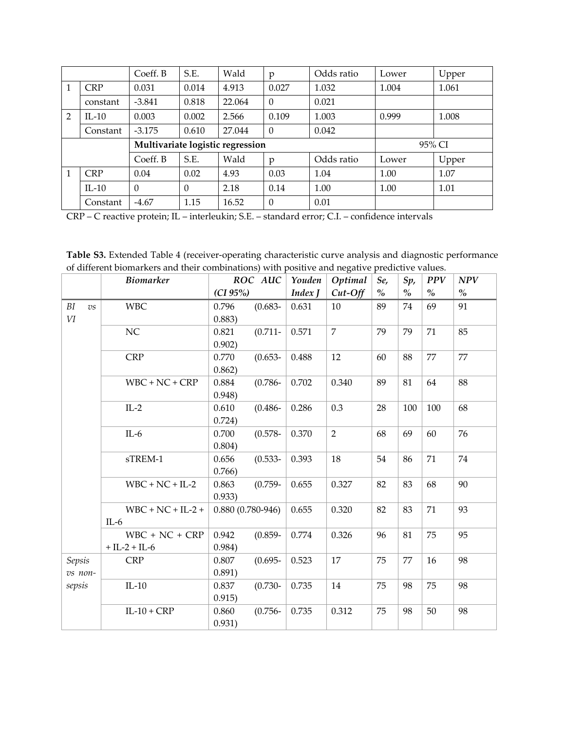|                |            | Coeff. B | S.E.     | Wald                             | p        | Odds ratio | Lower | Upper  |
|----------------|------------|----------|----------|----------------------------------|----------|------------|-------|--------|
|                | <b>CRP</b> | 0.031    | 0.014    | 4.913                            | 0.027    | 1.032      | 1.004 | 1.061  |
|                | constant   | $-3.841$ | 0.818    | 22.064                           | $\theta$ | 0.021      |       |        |
| $\overline{2}$ | $IL-10$    | 0.003    | 0.002    | 2.566                            | 0.109    | 1.003      | 0.999 | 1.008  |
|                | Constant   | $-3.175$ | 0.610    | 27.044                           | $\theta$ | 0.042      |       |        |
|                |            |          |          |                                  |          |            |       |        |
|                |            |          |          | Multivariate logistic regression |          |            |       | 95% CI |
|                |            | Coeff. B | S.E.     | Wald                             | p        | Odds ratio | Lower | Upper  |
|                | <b>CRP</b> | 0.04     | 0.02     | 4.93                             | 0.03     | 1.04       | 1.00  | 1.07   |
|                | $IL-10$    | $\Omega$ | $\Omega$ | 2.18                             | 0.14     | 1.00       | 1.00  | 1.01   |

CRP – C reactive protein; IL – interleukin; S.E. – standard error; C.I. – confidence intervals

| Table S3. Extended Table 4 (receiver-operating characteristic curve analysis and diagnostic performance |
|---------------------------------------------------------------------------------------------------------|
| of different biomarkers and their combinations) with positive and negative predictive values.           |

|                        | <b>Biomarker</b>    | ROC AUC            |            | Youden  | Optimal        | Se,  | Sp,  | <b>PPV</b> | NPV           |
|------------------------|---------------------|--------------------|------------|---------|----------------|------|------|------------|---------------|
|                        |                     | (CI 95%)           |            | Index J | $Cut$ -Off     | $\%$ | $\%$ | $\%$       | $\frac{1}{2}$ |
| BI<br>$\overline{v}$ s | <b>WBC</b>          | 0.796              | $(0.683 -$ | 0.631   | 10             | 89   | 74   | 69         | 91            |
| $\it VI$               |                     | 0.883)             |            |         |                |      |      |            |               |
|                        | NC                  | 0.821              | $(0.711 -$ | 0.571   | $\overline{7}$ | 79   | 79   | 71         | 85            |
|                        |                     | 0.902)             |            |         |                |      |      |            |               |
|                        | <b>CRP</b>          | 0.770              | $(0.653 -$ | 0.488   | 12             | 60   | 88   | 77         | 77            |
|                        |                     | 0.862)             |            |         |                |      |      |            |               |
|                        | $WBC + NC + CRP$    | 0.884              | $(0.786 -$ | 0.702   | 0.340          | 89   | 81   | 64         | 88            |
|                        |                     | 0.948              |            |         |                |      |      |            |               |
|                        | $IL-2$              | 0.610              | $(0.486 -$ | 0.286   | 0.3            | 28   | 100  | 100        | 68            |
|                        |                     | 0.724)             |            |         |                |      |      |            |               |
|                        | $IL-6$              | 0.700              | $(0.578 -$ | 0.370   | $\overline{2}$ | 68   | 69   | 60         | 76            |
|                        |                     | 0.804)             |            |         |                |      |      |            |               |
|                        | sTREM-1             | 0.656              | $(0.533 -$ | 0.393   | 18             | 54   | 86   | 71         | 74            |
|                        |                     | 0.766)             |            |         |                |      |      |            |               |
|                        | $WBC + NC + IL-2$   | 0.863              | $(0.759 -$ | 0.655   | 0.327          | 82   | 83   | 68         | 90            |
|                        |                     | 0.933)             |            |         |                |      |      |            |               |
|                        | $WBC + NC + IL-2 +$ | $0.880(0.780-946)$ |            | 0.655   | 0.320          | 82   | 83   | 71         | 93            |
|                        | $IL-6$              |                    |            |         |                |      |      |            |               |
|                        | $WBC + NC + CRP$    | 0.942              | $(0.859 -$ | 0.774   | 0.326          | 96   | 81   | 75         | 95            |
|                        | $+ IL-2 + IL-6$     | 0.984)             |            |         |                |      |      |            |               |
| Sepsis                 | <b>CRP</b>          | 0.807              | $(0.695 -$ | 0.523   | 17             | 75   | 77   | 16         | 98            |
| vs non-                |                     | 0.891)             |            |         |                |      |      |            |               |
| sepsis                 | $IL-10$             | 0.837              | $(0.730 -$ | 0.735   | 14             | 75   | 98   | 75         | 98            |
|                        |                     | 0.915)             |            |         |                |      |      |            |               |
|                        | $IL-10 + CRP$       | 0.860              | $(0.756 -$ | 0.735   | 0.312          | 75   | 98   | 50         | 98            |
|                        |                     | 0.931)             |            |         |                |      |      |            |               |